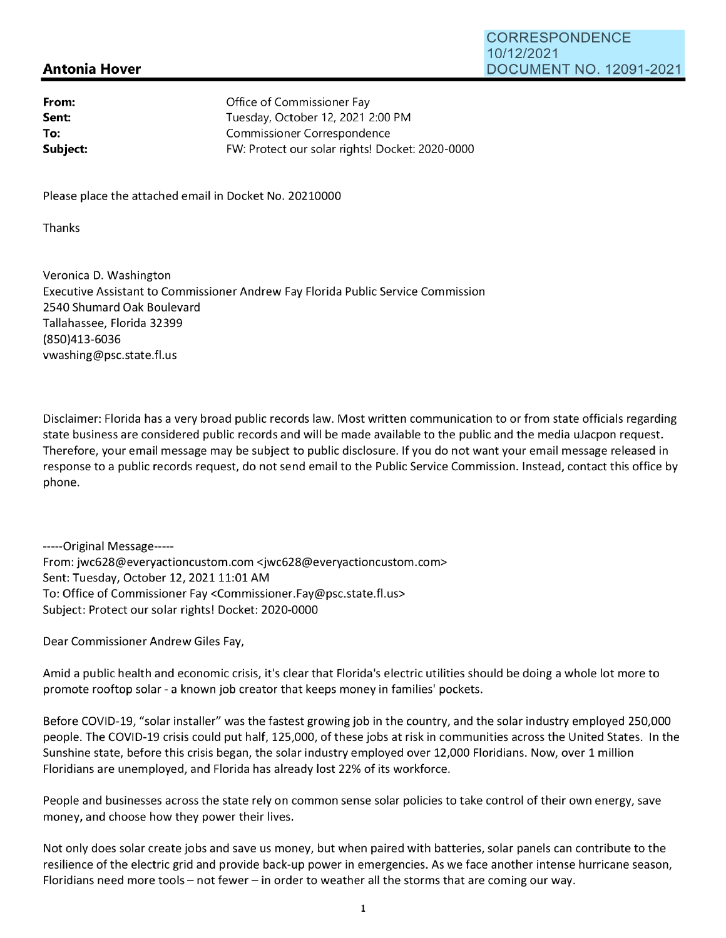## **Antonia Hover**

| From:    | Office of Commissioner Fay                      |
|----------|-------------------------------------------------|
| Sent:    | Tuesday, October 12, 2021 2:00 PM               |
| To:      | Commissioner Correspondence                     |
| Subject: | FW: Protect our solar rights! Docket: 2020-0000 |

Please place the attached email in Docket No. 20210000

Thanks

Veronica D. Washington Executive Assistant to Commissioner Andrew Fay Florida Public Service Commission 2540 Shumard Oak Boulevard Tallahassee, Florida 32399 (850)413-6036 vwashing@psc.state.fl.us

Disclaimer: Florida has a very broad public records law. Most written communication to or from state officials regarding state business are considered public records and will be made available to the public and the media uJacpon request. Therefore, your email message may be subject to public disclosure. If you do not want your email message released in response to a public records request, do not send email to the Public Service Commission. Instead, contact this office by phone.

-----Original Message----- From: jwc628@everyactioncustom.com <jwc628@everyactioncustom.com> Sent: Tuesday, October 12, 2021 11:01 AM To: Office of Commissioner Fay <Commissioner.Fay@psc.state.fl.us> Subject: Protect our solar rights! Docket: 2020-0000

Dear Commissioner Andrew Giles Fay,

Amid a public health and economic crisis, it's clear that Florida's electric utilities should be doing a whole lot more to promote rooftop solar - a known job creator that keeps money in families' pockets.

Before COVID-19, "solar installer" was the fastest growing job in the country, and the solar industry employed 250,000 people. The COVID-19 crisis could put half, 125,000, of these jobs at risk in communities across the United States. In the Sunshine state, before this crisis began, the solar industry employed over 12,000 Floridians. Now, over 1 million Floridians are unemployed, and Florida has already lost 22% of its workforce.

People and businesses across the state rely on common sense solar policies to take control of their own energy, save money, and choose how they power their lives.

Not only does solar create jobs and save us money, but when paired with batteries, solar panels can contribute to the resilience of the electric grid and provide back-up power in emergencies. As we face another intense hurricane season, Floridians need more tools - not fewer - in order to weather all the storms that are coming our way.